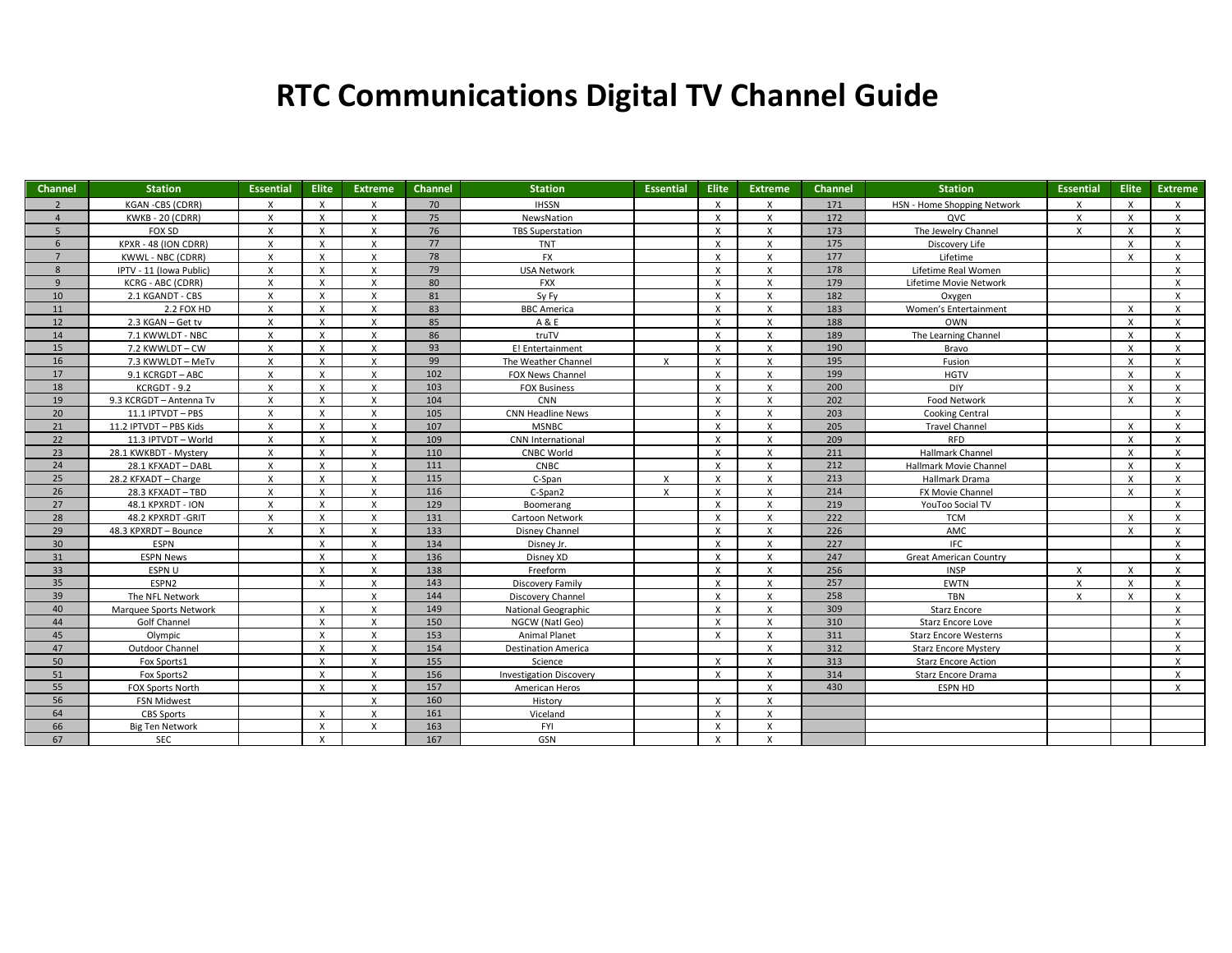## **RTC Communications Digital TV Channel Guide**

| Channel        | <b>Station</b>           | <b>Essential</b>          | <b>Elite</b> | <b>Extreme</b>     | Channel | <b>Station</b>                 | Essential    | Elite                     | <b>Extreme</b>            | <b>Channel</b> | <b>Station</b>                | <b>Essential</b> | <b>Elite</b> | <b>Extreme</b> |
|----------------|--------------------------|---------------------------|--------------|--------------------|---------|--------------------------------|--------------|---------------------------|---------------------------|----------------|-------------------------------|------------------|--------------|----------------|
| $\overline{2}$ | <b>KGAN-CBS (CDRR)</b>   | $\mathsf{X}$              | $\mathsf{x}$ | X                  | 70      | <b>IHSSN</b>                   |              | $\boldsymbol{\mathsf{x}}$ | $\mathsf{x}$              | 171            | HSN - Home Shopping Network   | $\mathsf{x}$     | $\mathsf{X}$ | X              |
| $\overline{4}$ | <b>KWKB - 20 (CDRR)</b>  | $\mathsf{X}$              | $\times$     | X                  | 75      | NewsNation                     |              | X                         | $\times$                  | 172            | QVC                           | $\mathsf{x}$     | $\mathsf{X}$ | $\times$       |
| 5              | FOX SD                   | $\mathsf{x}$              | $\mathsf{x}$ | $\mathsf{x}$       | 76      | <b>TBS Superstation</b>        |              | $\mathsf{x}$              | $\mathsf{x}$              | 173            | The Jewelry Channel           | $\mathsf{x}$     | $\mathsf{x}$ | X              |
| 6              | KPXR - 48 (ION CDRR)     | $\mathsf{x}$              | $\mathsf{x}$ | X                  | 77      | <b>TNT</b>                     |              | X                         | $\mathsf{x}$              | 175            | Discovery Life                |                  | $\times$     | X              |
| $7^{\circ}$    | <b>KWWL - NBC (CDRR)</b> | $\mathsf{x}$              | $\mathbf{x}$ | $\mathsf{x}$       | 78      | <b>FX</b>                      |              | $\boldsymbol{\mathsf{x}}$ | $\mathsf{x}$              | 177            | Lifetime                      |                  | $\mathsf{x}$ | $\mathsf{x}$   |
| 8              | IPTV - 11 (Iowa Public)  | $\mathsf{X}$              | $\mathsf{x}$ | $\mathsf{x}$       | 79      | <b>USA Network</b>             |              | $\boldsymbol{\mathsf{x}}$ | $\mathsf{x}$              | 178            | Lifetime Real Women           |                  |              | $\times$       |
| 9              | KCRG - ABC (CDRR)        | $\mathsf{x}$              | $\mathsf{x}$ | X                  | 80      | <b>FXX</b>                     |              | $\mathsf{X}$              | $\mathsf{X}$              | 179            | Lifetime Movie Network        |                  |              | X              |
| 10             | 2.1 KGANDT - CBS         | $\boldsymbol{\mathsf{x}}$ | $\mathbf{x}$ | $\mathsf{x}$       | 81      | Sy Fy                          |              | $\mathsf{x}$              | $\mathsf{x}$              | 182            | Oxygen                        |                  |              | $\times$       |
| 11             | 2.2 FOX HD               | $\mathsf{x}$              | $\times$     | $\mathsf{X}$       | 83      | <b>BBC</b> America             |              | X                         | $\times$                  | 183            | Women's Entertainment         |                  | $\mathsf{X}$ | $\times$       |
| 12             | 2.3 KGAN - Get tv        | $\mathsf{X}$              | $\mathsf{x}$ | X                  | 85      | A & E                          |              | $\mathsf{x}$              | X                         | 188            | <b>OWN</b>                    |                  | $\times$     | X              |
| 14             | 7.1 KWWLDT - NBC         | $\mathsf{x}$              | $\mathsf{x}$ | $\mathsf{x}$       | 86      | truTV                          |              | $\boldsymbol{\mathsf{x}}$ | $\mathsf{x}$              | 189            | The Learning Channel          |                  | $\mathsf{x}$ | $\times$       |
| 15             | 7.2 KWWLDT - CW          | $\mathsf{x}$              | $\mathsf{x}$ | $\mathsf{x}$       | 93      | E! Entertainment               |              | $\boldsymbol{\mathsf{x}}$ | $\mathsf{x}$              | 190            | Bravo                         |                  | $\mathsf{X}$ | X              |
| 16             | 7.3 KWWLDT - MeTv        | $\mathsf{x}$              | X            | X                  | 99      | The Weather Channel            | X            | X                         | $\mathsf{X}$              | 195            | Fusion                        |                  | $\mathsf{X}$ | X              |
| 17             | 9.1 KCRGDT-ABC           | $\mathsf{x}$              | $\mathsf{x}$ | X                  | 102     | FOX News Channel               |              | $\mathsf{x}$              | $\times$                  | 199            | <b>HGTV</b>                   |                  | $\mathsf{x}$ | X              |
| 18             | KCRGDT - 9.2             | X                         | X            | $\mathsf{x}$       | 103     | <b>FOX Business</b>            |              | $\boldsymbol{\mathsf{x}}$ | $\mathsf{x}$              | 200            | DIY                           |                  | X            | X              |
| 19             | 9.3 KCRGDT - Antenna Tv  | $\mathsf{X}$              | $\mathsf{x}$ | $\mathsf{X}$       | 104     | CNN                            |              | X                         | $\times$                  | 202            | <b>Food Network</b>           |                  | $\mathsf{x}$ | $\mathsf{x}$   |
| 20             | 11.1 IPTVDT - PBS        | X                         | $\mathsf{x}$ | X                  | 105     | <b>CNN Headline News</b>       |              | $\mathsf{x}$              | $\times$                  | 203            | <b>Cooking Central</b>        |                  |              | X              |
| 21             | 11.2 IPTVDT - PBS Kids   | $\mathsf{x}$              | $\times$     | X                  | 107     | <b>MSNBC</b>                   |              | $\mathsf{X}$              | $\times$                  | 205            | <b>Travel Channel</b>         |                  | $\mathsf{X}$ | $\times$       |
| 22             | 11.3 IPTVDT - World      | $\mathsf{x}$              | $\mathbf{x}$ | $\mathsf{x}$       | 109     | CNN International              |              |                           | $\mathsf{x}$              | 209            | <b>RFD</b>                    |                  | $\mathsf{x}$ | $\mathsf{x}$   |
| 23             | 28.1 KWKBDT - Mystery    | $\mathsf{x}$              | $\mathsf{x}$ | $\mathsf{X}$       | 110     | <b>CNBC World</b>              |              | $\boldsymbol{\mathsf{x}}$ | $\mathsf{x}$              | 211            | Hallmark Channel              |                  | $\times$     | X              |
| 24             | 28.1 KFXADT - DABL       | $\mathsf{x}$              | $\mathsf{x}$ | $\mathsf{x}$       | 111     | <b>CNBC</b>                    |              | $\boldsymbol{\mathsf{x}}$ | $\boldsymbol{\mathsf{x}}$ | 212            | Hallmark Movie Channel        |                  | X            | X              |
| 25             | 28.2 KFXADT - Charge     | $\boldsymbol{\mathsf{x}}$ | X            | $\mathsf{x}$       | 115     | C-Span                         | $\mathbf{x}$ | $\mathsf{x}$              | $\mathsf{x}$              | 213            | Hallmark Drama                |                  | X            | X              |
| 26             | 28.3 KFXADT-TBD          | $\mathsf{x}$              | $\mathsf{x}$ | $\pmb{\mathsf{X}}$ | 116     | C-Span2                        | $\mathsf{x}$ | X                         | $\times$                  | 214            | FX Movie Channel              |                  | X            | X              |
| 27             | 48.1 KPXRDT - ION        | $\mathsf{x}$              | $\mathsf{x}$ | X                  | 129     | Boomerang                      |              | X                         | $\mathsf{x}$              | 219            | YouToo Social TV              |                  |              | $\times$       |
| 28             | 48.2 KPXRDT-GRIT         | $\mathsf{X}$              | $\mathsf{x}$ | $\mathsf{x}$       | 131     | Cartoon Network                |              | $\mathsf{x}$              | $\mathsf{x}$              | 222            | <b>TCM</b>                    |                  | $\mathsf{x}$ | $\mathsf{x}$   |
| 29             | 48.3 KPXRDT - Bounce     | $\mathsf{x}$              | $\mathsf{x}$ | X                  | 133     | Disney Channel                 |              | $\mathsf{x}$              | $\mathsf{x}$              | 226            | AMC                           |                  | $\mathsf{X}$ | $\times$       |
| 30             | <b>ESPN</b>              |                           | $\mathsf{x}$ | $\mathsf{x}$       | 134     | Disney Jr.                     |              | $\boldsymbol{\mathsf{x}}$ | $\mathsf{x}$              | 227            | IFC.                          |                  |              | $\times$       |
| 31             | <b>ESPN News</b>         |                           | $\mathsf{x}$ | $\mathsf{x}$       | 136     | Disney XD                      |              | $\mathsf{x}$              | $\mathsf{x}$              | 247            | <b>Great American Country</b> |                  |              | X              |
| 33             | ESPN U                   |                           | X            | X                  | 138     | Freeform                       |              | X                         | $\mathsf{x}$              | 256            | <b>INSP</b>                   | $\times$         | X            | X              |
| 35             | ESPN2                    |                           | $\mathsf{x}$ | $\mathsf{x}$       | 143     | Discovery Family               |              | $\mathbf{x}$              | $\mathsf{x}$              | 257            | <b>EWTN</b>                   | $\mathsf{x}$     | $\mathsf{x}$ | $\mathsf{x}$   |
| 39             | The NFL Network          |                           |              | X                  | 144     | Discovery Channel              |              | X                         | $\times$                  | 258            | <b>TBN</b>                    | $\mathsf{x}$     | $\mathsf{X}$ | X              |
| 40             | Marquee Sports Network   |                           | $\times$     | X                  | 149     | National Geographic            |              | X                         | $\times$                  | 309            | <b>Starz Encore</b>           |                  |              | $\times$       |
| 44             | Golf Channel             |                           | $\mathsf{x}$ | $\mathsf{x}$       | 150     | NGCW (Natl Geo)                |              | $\boldsymbol{\mathsf{x}}$ | $\mathsf{x}$              | 310            | Starz Encore Love             |                  |              | X              |
| 45             | Olympic                  |                           | $\mathsf{x}$ | X                  | 153     | Animal Planet                  |              | $\boldsymbol{\mathsf{x}}$ | $\mathsf{x}$              | 311            | <b>Starz Encore Westerns</b>  |                  |              | $\times$       |
| 47             | Outdoor Channel          |                           | $\mathsf{x}$ | X                  | 154     | <b>Destination America</b>     |              |                           | $\mathsf{X}$              | 312            | <b>Starz Encore Mystery</b>   |                  |              | X              |
| 50             | Fox Sports1              |                           | X            | $\mathsf{x}$       | 155     | Science                        |              | $\boldsymbol{\mathsf{x}}$ | $\mathsf{x}$              | 313            | <b>Starz Encore Action</b>    |                  |              | X              |
| 51             | Fox Sports2              |                           | X            | $\mathsf{X}$       | 156     | <b>Investigation Discovery</b> |              | $\mathsf{x}$              | $\times$                  | 314            | Starz Encore Drama            |                  |              | X              |
| 55             | FOX Sports North         |                           | $\mathsf{x}$ | X                  | 157     | American Heros                 |              |                           | $\mathsf{x}$              | 430            | <b>ESPN HD</b>                |                  |              | X              |
| 56             | <b>FSN Midwest</b>       |                           |              | X                  | 160     | History                        |              | $\mathsf{x}$              | $\times$                  |                |                               |                  |              |                |
| 64             | <b>CBS Sports</b>        |                           | X            | X                  | 161     | Viceland                       |              | X                         | $\mathsf{X}$              |                |                               |                  |              |                |
| 66             | <b>Big Ten Network</b>   |                           | $\mathsf{x}$ | $\mathsf{x}$       | 163     | FYI                            |              | $\mathsf{x}$              | $\times$                  |                |                               |                  |              |                |
| 67             | SEC                      |                           | $\mathsf{x}$ |                    | 167     | GSN                            |              | $\boldsymbol{\mathsf{x}}$ | $\mathsf{x}$              |                |                               |                  |              |                |